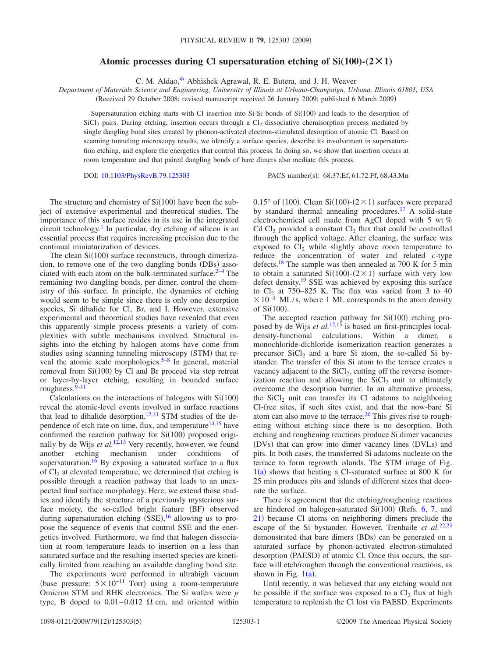## Atomic processes during Cl supersaturation etching of  $Si(100)-(2\times1)$

C. M. Aldao[,\\*](#page-4-0) Abhishek Agrawal, R. E. Butera, and J. H. Weaver

*Department of Materials Science and Engineering, University of Illinois at Urbana-Champaign, Urbana, Illinois 61801, USA*

(Received 29 October 2008; revised manuscript received 26 January 2009; published 6 March 2009)

Supersaturation etching starts with Cl insertion into Si-Si bonds of Si(100) and leads to the desorption of  $\mathrm{SiCl}_2$  pairs. During etching, insertion occurs through a  $\mathrm{Cl}_2$  dissociative chemisorption process mediated by single dangling bond sites created by phonon-activated electron-stimulated desorption of atomic Cl. Based on scanning tunneling microscopy results, we identify a surface species, describe its involvement in supersaturation etching, and explore the energetics that control this process. In doing so, we show that insertion occurs at room temperature and that paired dangling bonds of bare dimers also mediate this process.

DOI: [10.1103/PhysRevB.79.125303](http://dx.doi.org/10.1103/PhysRevB.79.125303)

PACS number(s): 68.37.Ef, 61.72.Ff, 68.43.Mn

The structure and chemistry of  $Si(100)$  have been the subject of extensive experimental and theoretical studies. The importance of this surface resides in its use in the integrated circuit technology[.1](#page-4-1) In particular, dry etching of silicon is an essential process that requires increasing precision due to the continual miniaturization of devices.

The clean  $Si(100)$  surface reconstructs, through dimerization, to remove one of the two dangling bonds (DBs) associated with each atom on the bulk-terminated surface. $2-4$  $2-4$  The remaining two dangling bonds, per dimer, control the chemistry of this surface. In principle, the dynamics of etching would seem to be simple since there is only one desorption species, Si dihalide for Cl, Br, and I. However, extensive experimental and theoretical studies have revealed that even this apparently simple process presents a variety of complexities with subtle mechanisms involved. Structural insights into the etching by halogen atoms have come from studies using scanning tunneling microscopy (STM) that re-veal the atomic scale morphologies.<sup>5–[8](#page-4-5)</sup> In general, material removal from  $Si(100)$  by Cl and Br proceed via step retreat or layer-by-layer etching, resulting in bounded surface roughness. $9-11$ 

Calculations on the interactions of halogens with  $Si(100)$ reveal the atomic-level events involved in surface reactions that lead to dihalide desorption.<sup>12,[13](#page-4-9)</sup> STM studies of the dependence of etch rate on time, flux, and temperature $14,15$  $14,15$  have confirmed the reaction pathway for  $Si(100)$  proposed originally by de Wijs *et al.*<sup>[12,](#page-4-8)[13](#page-4-9)</sup> Very recently, however, we found another etching mechanism under conditions of supersaturation.<sup>16</sup> By exposing a saturated surface to a flux of  $Cl<sub>2</sub>$  at elevated temperature, we determined that etching is possible through a reaction pathway that leads to an unexpected final surface morphology. Here, we extend those studies and identify the structure of a previously mysterious surface moiety, the so-called bright feature (BF) observed during supersaturation etching (SSE),<sup>[16](#page-4-12)</sup> allowing us to propose the sequence of events that control SSE and the energetics involved. Furthermore, we find that halogen dissociation at room temperature leads to insertion on a less than saturated surface and the resulting inserted species are kinetically limited from reaching an available dangling bond site.

The experiments were performed in ultrahigh vacuum (base pressure:  $5 \times 10^{-11}$  Torr) using a room-temperature Omicron STM and RHK electronics. The Si wafers were *p* type, B doped to  $0.01-0.012$   $\Omega$  cm, and oriented within

 $0.15^{\circ}$  of (100). Clean Si(100)-(2 × 1) surfaces were prepared by standard thermal annealing procedures.<sup>17</sup> A solid-state electrochemical cell made from AgCl doped with 5 wt %  $Cd Cl<sub>2</sub>$  provided a constant  $Cl<sub>2</sub>$  flux that could be controlled through the applied voltage. After cleaning, the surface was exposed to  $Cl_2$  while slightly above room temperature to reduce the concentration of water and related *c*-type defects.<sup>18</sup> The sample was then annealed at 700 K for 5 min to obtain a saturated  $Si(100)-(2\times1)$  surface with very low defect density[.19](#page-4-15) SSE was achieved by exposing this surface to  $Cl_2$  at 750–825 K. The flux was varied from 3 to 40  $\times 10^{-3}$  ML/s, where 1 ML corresponds to the atom density of  $Si(100)$ .

The accepted reaction pathway for  $Si(100)$  etching proposed by de Wijs *et al.*[12,](#page-4-8)[13](#page-4-9) is based on first-principles localdensity-functional calculations. Within a dimer, a monochloride-dichloride isomerization reaction generates a precursor  $SiCl<sub>2</sub>$  and a bare Si atom, the so-called Si bystander. The transfer of this Si atom to the terrace creates a vacancy adjacent to the  $\text{SiCl}_2$ , cutting off the reverse isomerization reaction and allowing the  $SiCl<sub>2</sub>$  unit to ultimately overcome the desorption barrier. In an alternative process, the  $SiCl<sub>2</sub>$  unit can transfer its Cl adatoms to neighboring Cl-free sites, if such sites exist, and that the now-bare Si atom can also move to the terrace.<sup>20</sup> This gives rise to roughening without etching since there is no desorption. Both etching and roughening reactions produce Si dimer vacancies (DVs) that can grow into dimer vacancy lines (DVLs) and pits. In both cases, the transferred Si adatoms nucleate on the terrace to form regrowth islands. The STM image of Fig.  $1(a)$  $1(a)$  shows that heating a Cl-saturated surface at 800 K for 25 min produces pits and islands of different sizes that decorate the surface.

There is agreement that the etching/roughening reactions are hindered on halogen-saturated  $Si(100)$  (Refs. [6,](#page-4-17) [7,](#page-4-18) and [21](#page-4-19)) because Cl atoms on neighboring dimers preclude the escape of the Si bystander. However, Trenhaile *et al.*<sup>[22](#page-4-20)[,23](#page-4-21)</sup> demonstrated that bare dimers (BDs) can be generated on a saturated surface by phonon-activated electron-stimulated desorption (PAESD) of atomic Cl. Once this occurs, the surface will etch/roughen through the conventional reactions, as shown in Fig.  $1(a)$  $1(a)$ .

Until recently, it was believed that any etching would not be possible if the surface was exposed to a  $Cl<sub>2</sub>$  flux at high temperature to replenish the Cl lost via PAESD. Experiments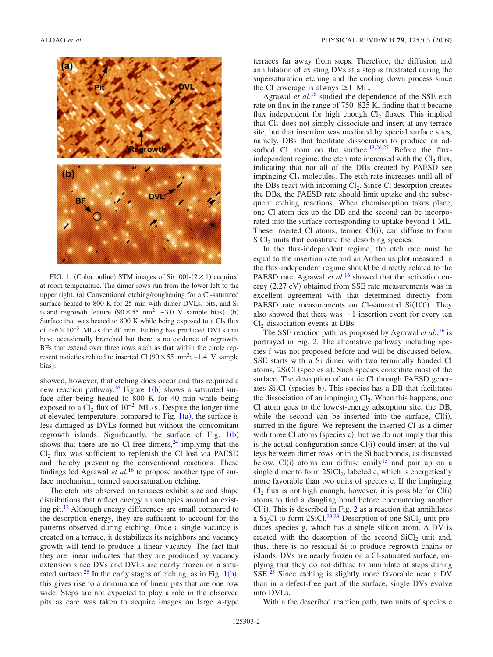<span id="page-1-0"></span>

FIG. 1. (Color online) STM images of  $Si(100)-(2\times1)$  acquired at room temperature. The dimer rows run from the lower left to the upper right. (a) Conventional etching/roughening for a Cl-saturated surface heated to 800 K for 25 min with dimer DVLs, pits, and Si island regrowth feature  $(90 \times 55 \text{ nm}^2; -3.0 \text{ V}$  sample bias). (b) Surface that was heated to 800 K while being exposed to a  $Cl_2$  flux of  $~6\times10^{-3}$  ML/s for 40 min. Etching has produced DVLs that have occasionally branched but there is no evidence of regrowth. BFs that extend over three rows such as that within the circle represent moieties related to inserted Cl  $(90 \times 55 \text{ nm}^2; -1.4 \text{ V}$  sample bias).

showed, however, that etching does occur and this required a new reaction pathway.<sup>[1](#page-1-0)6</sup> Figure 1(b) shows a saturated surface after being heated to 800 K for 40 min while being exposed to a  $CI_2$  flux of  $10^{-2}$  ML/s. Despite the longer time at elevated temperature, compared to Fig.  $1(a)$  $1(a)$ , the surface is less damaged as DVLs formed but without the concomitant regrowth islands. Significantly, the surface of Fig.  $1(b)$  $1(b)$ shows that there are no Cl-free dimers, $24$  implying that the Cl<sub>2</sub> flux was sufficient to replenish the Cl lost via PAESD and thereby preventing the conventional reactions. These findings led Agrawal *et al.*[16](#page-4-12) to propose another type of surface mechanism, termed supersaturation etching.

The etch pits observed on terraces exhibit size and shape distributions that reflect energy anisotropies around an existing pit[.12](#page-4-8) Although energy differences are small compared to the desorption energy, they are sufficient to account for the patterns observed during etching. Once a single vacancy is created on a terrace, it destabilizes its neighbors and vacancy growth will tend to produce a linear vacancy. The fact that they are linear indicates that they are produced by vacancy extension since DVs and DVLs are nearly frozen on a saturated surface.<sup>25</sup> In the early stages of etching, as in Fig.  $1(b)$  $1(b)$ , this gives rise to a dominance of linear pits that are one row wide. Steps are not expected to play a role in the observed pits as care was taken to acquire images on large *A*-type

terraces far away from steps. Therefore, the diffusion and annihilation of existing DVs at a step is frustrated during the supersaturation etching and the cooling down process since the Cl coverage is always  $\geq 1$  ML.

Agrawal *et al.*[16](#page-4-12) studied the dependence of the SSE etch rate on flux in the range of 750–825 K, finding that it became flux independent for high enough  $Cl<sub>2</sub>$  fluxes. This implied that  $Cl<sub>2</sub>$  does not simply dissociate and insert at any terrace site, but that insertion was mediated by special surface sites, namely, DBs that facilitate dissociation to produce an ad-sorbed Cl atom on the surface.<sup>13[,26](#page-4-24)[,27](#page-4-25)</sup> Before the fluxindependent regime, the etch rate increased with the  $Cl<sub>2</sub> flux$ , indicating that not all of the DBs created by PAESD see impinging  $Cl<sub>2</sub>$  molecules. The etch rate increases until all of the DBs react with incoming  $Cl<sub>2</sub>$ . Since Cl desorption creates the DBs, the PAESD rate should limit uptake and the subsequent etching reactions. When chemisorption takes place, one Cl atom ties up the DB and the second can be incorporated into the surface corresponding to uptake beyond 1 ML. These inserted Cl atoms, termed  $Cl(i)$ , can diffuse to form  $SiCl<sub>2</sub>$  units that constitute the desorbing species.

In the flux-independent regime, the etch rate must be equal to the insertion rate and an Arrhenius plot measured in the flux-independent regime should be directly related to the PAESD rate. Agrawal *et al.*<sup>[16](#page-4-12)</sup> showed that the activation energy (2.27 eV) obtained from SSE rate measurements was in excellent agreement with that determined directly from PAESD rate measurements on Cl-saturated  $Si(100)$ . They also showed that there was  $\sim$  1 insertion event for every ten Cl<sub>2</sub> dissociation events at DBs.

The SSE reaction path, as proposed by Agrawal *et al.*, [16](#page-4-12) is portrayed in Fig. [2.](#page-2-0) The alternative pathway including species f was not proposed before and will be discussed below. SSE starts with a Si dimer with two terminally bonded Cl atoms, 2SiCl (species a). Such species constitute most of the surface. The desorption of atomic Cl through PAESD generates  $Si<sub>2</sub>Cl$  (species b). This species has a DB that facilitates the dissociation of an impinging  $Cl<sub>2</sub>$ . When this happens, one Cl atom goes to the lowest-energy adsorption site, the DB, while the second can be inserted into the surface,  $Cl(i)$ , starred in the figure. We represent the inserted Cl as a dimer with three Cl atoms (species c), but we do not imply that this is the actual configuration since  $Cl(i)$  could insert at the valleys between dimer rows or in the Si backbonds, as discussed below. Cl(i) atoms can diffuse easily  $13$  and pair up on a single dimer to form  $2SiCl<sub>2</sub>$ , labeled e, which is energetically more favorable than two units of species c. If the impinging  $Cl_2$  flux is not high enough, however, it is possible for  $Cl(i)$ atoms to find a dangling bond before encountering another  $Cl(i)$ . This is described in Fig. [2](#page-2-0) as a reaction that annihilates a Si<sub>2</sub>Cl to form 2SiCl.<sup>28[,29](#page-4-27)</sup> Desorption of one SiCl<sub>2</sub> unit produces species g, which has a single silicon atom. A DV is created with the desorption of the second  $SiCl<sub>2</sub>$  unit and, thus, there is no residual Si to produce regrowth chains or islands. DVs are nearly frozen on a Cl-saturated surface, implying that they do not diffuse to annihilate at steps during SSE.[25](#page-4-23) Since etching is slightly more favorable near a DV than in a defect-free part of the surface, single DVs evolve into DVLs.

Within the described reaction path, two units of species c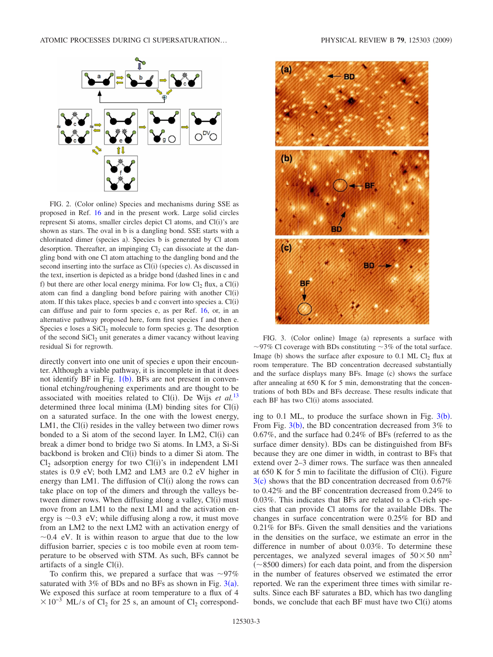<span id="page-2-0"></span>

FIG. 2. (Color online) Species and mechanisms during SSE as proposed in Ref. [16](#page-4-12) and in the present work. Large solid circles represent Si atoms, smaller circles depict Cl atoms, and Cl(i)'s are shown as stars. The oval in b is a dangling bond. SSE starts with a chlorinated dimer (species a). Species b is generated by Cl atom desorption. Thereafter, an impinging  $Cl<sub>2</sub>$  can dissociate at the dangling bond with one Cl atom attaching to the dangling bond and the second inserting into the surface as Cl(i) (species c). As discussed in the text, insertion is depicted as a bridge bond (dashed lines in c and f) but there are other local energy minima. For low  $Cl_2$  flux, a  $Cl(i)$ atom can find a dangling bond before pairing with another Cl(i) atom. If this takes place, species b and c convert into species a. Cl(i) can diffuse and pair to form species e, as per Ref. [16,](#page-4-12) or, in an alternative pathway proposed here, form first species f and then e. Species e loses a  $SiCl<sub>2</sub>$  molecule to form species g. The desorption of the second  $SiCl<sub>2</sub>$  unit generates a dimer vacancy without leaving residual Si for regrowth.

directly convert into one unit of species e upon their encounter. Although a viable pathway, it is incomplete in that it does not identify BF in Fig.  $1(b)$  $1(b)$ . BFs are not present in conventional etching/roughening experiments and are thought to be associated with moeities related to Cl(i). De Wijs et al.<sup>[13](#page-4-9)</sup> determined three local minima (LM) binding sites for Cl(i) on a saturated surface. In the one with the lowest energy, LM1, the Cl(i) resides in the valley between two dimer rows bonded to a Si atom of the second layer. In LM2, Cl(i) can break a dimer bond to bridge two Si atoms. In LM3, a Si-Si backbond is broken and Cl(i) binds to a dimer Si atom. The  $Cl<sub>2</sub>$  adsorption energy for two  $Cl(i)'s$  in independent LM1 states is 0.9 eV; both LM2 and LM3 are 0.2 eV higher in energy than LM1. The diffusion of Cl(i) along the rows can take place on top of the dimers and through the valleys between dimer rows. When diffusing along a valley, Cl(i) must move from an LM1 to the next LM1 and the activation energy is  $\sim$ 0.3 eV; while diffusing along a row, it must move from an LM2 to the next LM2 with an activation energy of  $\sim$ 0.4 eV. It is within reason to argue that due to the low diffusion barrier, species c is too mobile even at room temperature to be observed with STM. As such, BFs cannot be artifacts of a single Cl(i).

To confirm this, we prepared a surface that was  $\sim 97\%$ saturated with  $3\%$  $3\%$  of BDs and no BFs as shown in Fig.  $3(a)$ . We exposed this surface at room temperature to a flux of 4  $\times 10^{-3}$  ML/s of Cl<sub>2</sub> for 25 s, an amount of Cl<sub>2</sub> correspond-

<span id="page-2-1"></span>

FIG. 3. (Color online) Image (a) represents a surface with  $\sim$ 97% Cl coverage with BDs constituting  $\sim$ 3% of the total surface. Image (b) shows the surface after exposure to  $0.1$  ML Cl<sub>2</sub> flux at room temperature. The BD concentration decreased substantially and the surface displays many BFs. Image (c) shows the surface after annealing at 650 K for 5 min, demonstrating that the concentrations of both BDs and BFs decrease. These results indicate that each BF has two Cl(i) atoms associated.

ing to 0.1 ML, to produce the surface shown in Fig.  $3(b)$  $3(b)$ . From Fig.  $3(b)$  $3(b)$ , the BD concentration decreased from  $3\%$  to  $0.67\%$ , and the surface had  $0.24\%$  of BFs (referred to as the surface dimer density). BDs can be distinguished from BFs because they are one dimer in width, in contrast to BFs that extend over 2–3 dimer rows. The surface was then annealed at  $650$  K for 5 min to facilitate the diffusion of Cl(i). Figure  $3(c)$  $3(c)$  shows that the BD concentration decreased from 0.67% to 0.42% and the BF concentration decreased from 0.24% to 0.03%. This indicates that BFs are related to a Cl-rich species that can provide Cl atoms for the available DBs. The changes in surface concentration were 0.25% for BD and 0.21% for BFs. Given the small densities and the variations in the densities on the surface, we estimate an error in the difference in number of about 0.03%. To determine these percentages, we analyzed several images of  $50 \times 50$  nm<sup>2</sup>  $(\sim 8500$  dimers) for each data point, and from the dispersion in the number of features observed we estimated the error reported. We ran the experiment three times with similar results. Since each BF saturates a BD, which has two dangling bonds, we conclude that each BF must have two Cl(i) atoms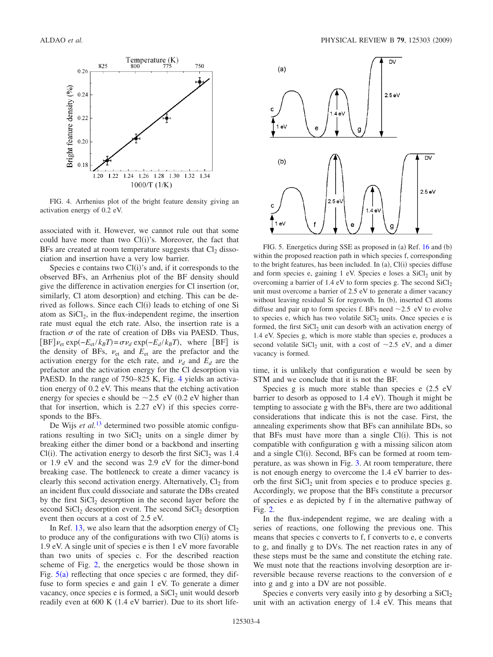<span id="page-3-0"></span>

FIG. 4. Arrhenius plot of the bright feature density giving an activation energy of 0.2 eV.

associated with it. However, we cannot rule out that some could have more than two  $Cl(i)$ 's. Moreover, the fact that BFs are created at room temperature suggests that  $Cl<sub>2</sub>$  dissociation and insertion have a very low barrier.

Species e contains two Cl(i)'s and, if it corresponds to the observed BFs, an Arrhenius plot of the BF density should give the difference in activation energies for Cl insertion (or, similarly, Cl atom desorption) and etching. This can be derived as follows. Since each Cl(i) leads to etching of one Si atom as  $SiCl<sub>2</sub>$ , in the flux-independent regime, the insertion rate must equal the etch rate. Also, the insertion rate is a fraction  $\sigma$  of the rate of creation of DBs via PAESD. Thus,  $[BF] \nu_{\text{et}} \exp(-E_{\text{et}}/k_B T) = \sigma \nu_d \exp(-E_d / k_B T)$ , where  $[BF]$  is the density of BFs,  $v_{et}$  and  $E_{et}$  are the prefactor and the activation energy for the etch rate, and  $\nu_d$  and  $E_d$  are the prefactor and the activation energy for the Cl desorption via PAESD. In the range of 750–825 K, Fig. [4](#page-3-0) yields an activation energy of 0.2 eV. This means that the etching activation energy for species e should be  $\sim$  2.5 eV (0.2 eV higher than that for insertion, which is  $2.27$  eV) if this species corresponds to the BFs.

De Wijs *et al.*[13](#page-4-9) determined two possible atomic configurations resulting in two  $SiCl<sub>2</sub>$  units on a single dimer by breaking either the dimer bond or a backbond and inserting Cl(i). The activation energy to desorb the first  $SiCl<sub>2</sub>$  was 1.4 or 1.9 eV and the second was 2.9 eV for the dimer-bond breaking case. The bottleneck to create a dimer vacancy is clearly this second activation energy. Alternatively,  $Cl_2$  from an incident flux could dissociate and saturate the DBs created by the first  $\text{SiCl}_2$  desorption in the second layer before the second  $\text{SiCl}_2$  desorption event. The second  $\text{SiCl}_2$  desorption event then occurs at a cost of 2.5 eV.

In Ref. [13,](#page-4-9) we also learn that the adsorption energy of  $Cl<sub>2</sub>$ to produce any of the configurations with two  $Cl(i)$  atoms is 1.9 eV. A single unit of species e is then 1 eV more favorable than two units of species c. For the described reaction scheme of Fig. [2,](#page-2-0) the energetics would be those shown in Fig.  $5(a)$  $5(a)$  reflecting that once species c are formed, they diffuse to form species e and gain 1 eV. To generate a dimer vacancy, once species e is formed, a  $SiCl<sub>2</sub>$  unit would desorb readily even at 600 K (1.4 eV barrier). Due to its short life-

<span id="page-3-1"></span>

FIG. 5. Energetics during SSE as proposed in (a) Ref. [16](#page-4-12) and (b) within the proposed reaction path in which species f, corresponding to the bright features, has been included. In  $(a)$ ,  $Cl(i)$  species diffuse and form species e, gaining  $1$  eV. Species e loses a SiCl<sub>2</sub> unit by overcoming a barrier of  $1.4$  eV to form species g. The second  $SiCl<sub>2</sub>$ unit must overcome a barrier of 2.5 eV to generate a dimer vacancy without leaving residual Si for regrowth. In (b), inserted Cl atoms diffuse and pair up to form species f. BFs need  $\sim$  2.5 eV to evolve to species e, which has two volatile SiCl<sub>2</sub> units. Once species e is formed, the first  $SiCl<sub>2</sub>$  unit can desorb with an activation energy of 1.4 eV. Species g, which is more stable than species e, produces a second volatile SiCl<sub>2</sub> unit, with a cost of  $\sim$ 2.5 eV, and a dimer vacancy is formed.

time, it is unlikely that configuration e would be seen by STM and we conclude that it is not the BF.

Species g is much more stable than species e  $(2.5 \text{ eV})$ barrier to desorb as opposed to 1.4 eV). Though it might be tempting to associate g with the BFs, there are two additional considerations that indicate this is not the case. First, the annealing experiments show that BFs can annihilate BDs, so that BFs must have more than a single  $Cl(i)$ . This is not compatible with configuration g with a missing silicon atom and a single Cl(i). Second, BFs can be formed at room temperature, as was shown in Fig. [3.](#page-2-1) At room temperature, there is not enough energy to overcome the 1.4 eV barrier to desorb the first  $SiCl<sub>2</sub>$  unit from species e to produce species g. Accordingly, we propose that the BFs constitute a precursor of species e as depicted by f in the alternative pathway of Fig. [2.](#page-2-0)

In the flux-independent regime, we are dealing with a series of reactions, one following the previous one. This means that species c converts to f, f converts to e, e converts to g, and finally g to DVs. The net reaction rates in any of these steps must be the same and constitute the etching rate. We must note that the reactions involving desorption are irreversible because reverse reactions to the conversion of e into g and g into a DV are not possible.

Species e converts very easily into g by desorbing a  $SiCl<sub>2</sub>$ unit with an activation energy of 1.4 eV. This means that